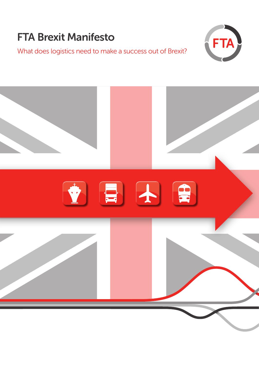## FTA Brexit Manifesto

What does logistics need to make a success out of Brexit?



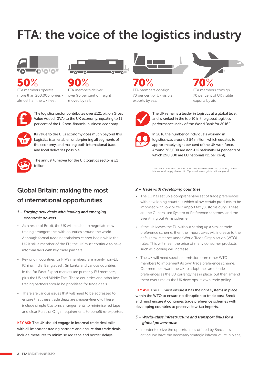# FTA: the voice of the logistics industry





FTA members operate more than 200,000 lorries almost half the UK fleet.



FTA members deliver over 90 per cent of freight moved by rail.



The logistics sector contributes over £121 billion Gross Value Added (GVA) to the UK economy, equating to 11 per cent of the UK non-financial business economy.



Its value to the UK's economy goes much beyond this. Logistics is an enabler, underpinning all segments of the economy, and making both international trade and local deliveries possible.



The annual turnover for the UK logistics sector is £1 trillion.



FTA members consign 70 per cent of UK visible exports by sea. 70% 70%



FTA members consign 70 per cent of UK visible exports by air.



The UK remains a leader in logistics at a global level, and is ranked in the top 10 in the global logistics performance index of the World Bank for 2016.\*



In 2016 the number of individuals working in logistics was around 2.54 million, which equates to approximately eight per cent of the UK workforce. Around 365,000 are non-UK nationals (14 per cent) of which 290,000 are EU nationals (11 per cent).

\* This index ranks 160 countries across the world based on the efficiency of their international supply chains: http://lpi.worldbank.org/international/global

## Global Britain: making the most of international opportunities

#### *1 – Forging new deals with leading and emerging economic powers*

- As a result of Brexit, the UK will be able to negotiate new trading arrangements with countries around the world. Although formal trade negotiations cannot begin while the UK is still a member of the EU, the UK must continue to have informal talks with key trade partners
- Key origin countries for FTA's members are mainly non-EU (China, India, Bangladesh, Sri Lanka and various countries in the Far East). Export markets are primarily EU members, plus the US and Middle East. These countries and other key trading partners should be prioritised for trade deals
- There are various issues that will need to be addressed to ensure that these trade deals are shipper-friendly. These include simple Customs arrangements to minimise red tape and clear Rules of Origin requirements to benefit re-exporters

**KEY ASK** The UK should engage in informal trade deal talks with all important trading partners and ensure that trade deals include measures to minimise red tape and border delays.

#### *2 – Trade with developing countries*

- The EU has set up a comprehensive set of trade preferences with developing countries which allow certain products to be imported with low or zero import tax (Customs duty). These are the Generalised System of Preference schemes and the Everything but Arms scheme
- If the UK leaves the EU without setting up a similar trade preference scheme, then the import taxes will increase to the default tax rates set under World Trade Organization (WTO) rules. This will mean the price of many consumer products such as clothing will increase
- The UK will need special permission from other WTO members to implement its own trade preference scheme. Our members want the UK to adopt the same trade preferences as the EU currently has in place, but then amend them over time as the UK develops its own trade policy

KEY ASK The UK must ensure it has the right systems in place within the WTO to ensure no disruption to trade post-Brexit and must ensure it continues trade preference schemes with developing countries to preserve low-tax imports.

#### *3 – World-class infrastructure and transport links for a global powerhouse*

• In order to seize the opportunities offered by Brexit, it is critical we have the necessary strategic infrastructure in place,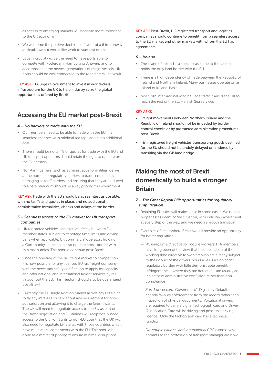as access to emerging markets will become more important to the UK economy

- We welcome the positive decision in favour of a third runway at Heathrow but would like work to start fast on this
- Equally crucial will be the need to have ports able to compete with Rotterdam, Hamburg or Antwerp and to accommodate the newest generations of mega-vessels. UK ports should be well connected to the road and rail network

KEY ASK FTA urges Government to invest in world-class infrastructure for the UK to help industry seize the global opportunities offered by Brexit.

### Accessing the EU market post-Brexit

#### *4 – No barriers to trade with the EU*

- Our members need to be able to trade with the EU in a seamless manner, with minimal red tape and at no additional cost
- There should be no tariffs or quotas for trade with the EU and UK transport operators should retain the right to operate on the EU territory
- Non-tariff barriers, such as administrative formalities, delays at the border, or regulatory barriers to trade, could be as damaging as tariff barriers and ensuring that they are reduced to a bare minimum should be a key priority for Government

#### KEY ASK Trade with the EU should be as seamless as possible, with no tariffs and quotas in place, and no additional administrative formalities, checks and delays at the border.

#### *5 – Seamless access to the EU market for UK transport companies*

- UK registered vehicles can circulate freely between EU member states, subject to cabotage time limits and driving bans when applicable. UK commercial operators holding a Community licence can also operate cross-border with minimal hurdles. This should continue post-Brexit
- Since the opening of the rail freight market to competition it is now possible for any licensed EU rail freight company with the necessary safety certification to apply for capacity and offer national and international freight services by rail throughout the EU. This freedom should also be guaranteed post-Brexit
- Currently the EU single aviation market allows any EU airline to fly any intra-EU route without any requirement for prior authorisation and allowing it to charge the fares it wants. The UK will need to negotiate access to the EU as part of the Brexit negotiation and EU airlines will reciprocally need access to the UK. For flights to non-EU countries the UK will also need to negotiate bi-laterals with those countries which have multilateral agreements with the EU. This should be done as a matter of priority to ensure minimal disruptions

KEY ASK Post-Brexit, UK-registered transport and logistics companies should continue to benefit from a seamless access to the EU market and other markets with whom the EU has agreements.

#### *6 – Ireland*

- The island of Ireland is a special case, due to the fact that it holds the only land border with the EU
- There is a high dependency of trade between the Republic of Ireland and Northern Ireland. Many businesses operate on an 'Island of Ireland' basis
- Most Irish international road haulage traffic transits the UK to reach the rest of the EU, via Irish Sea services

#### KEY ASKS

- Freight movements between Northern Ireland and the Republic of Ireland should not be impeded by border control checks or by protracted administration procedures post-Brexit
- Irish registered freight vehicles transporting goods destined for the EU should not be unduly delayed or hindered by transiting via the GB land bridge

### Making the most of Brexit domestically to build a stronger **Britain**

#### *7 – The Great Repeal Bill: opportunities for regulatory simplification*

- Retaining EU rules will make sense in some cases. We need a proper assessment of the situation, with industry involvement at every step of the way, and we need a smooth transition
- Examples of areas where Brexit would provide an opportunity for better regulation
	- *Working time directive for mobile workers*: FTA members have long been of the view that the application of the working time directive to workers who are already subject to the rigours of the drivers' hours rules is a significant regulatory burden with little demonstrable benefit. Infringements – where they are detected - are usually an indicator of administrative confusion rather than noncompliance
	- *3-in-1 driver card*: Government's Digital by Default agenda favours enforcement from the record rather than inspection of physical documents. Vocational drivers are required to carry a digital tachograph card and Driver Qualification Card whilst driving and possess a driving licence. Only the tachograph card has a technical function
	- *De-couple national and international CPC exams*: New entrants to the profession of transport manager are now